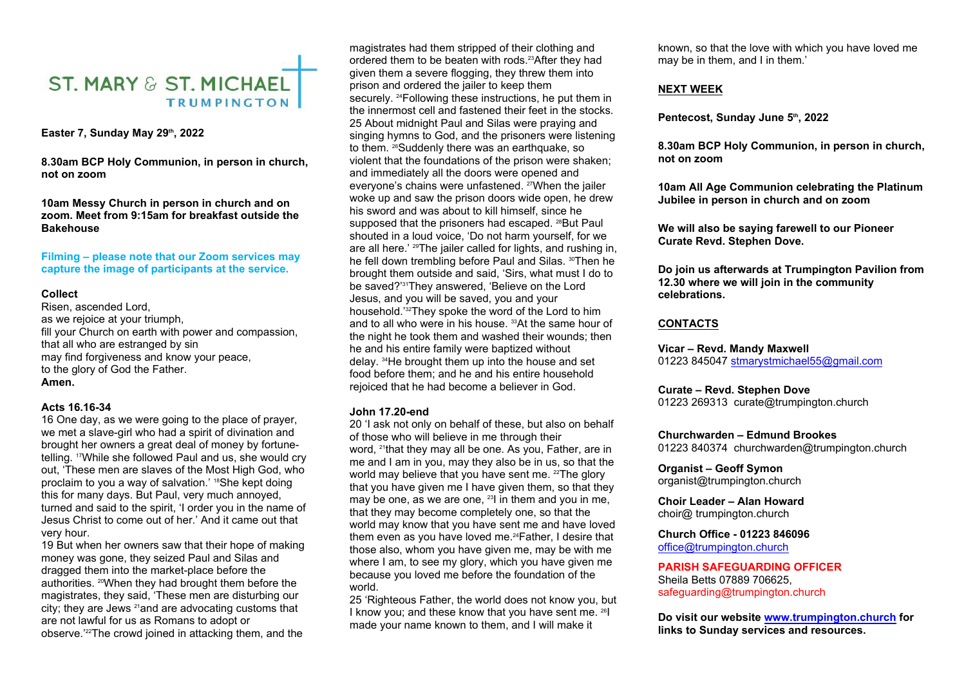# **ST. MARY & ST. MICHAEL TRUMPINGTON**

**Easter 7, Sunday May 29th, 2022** 

**8.30am BCP Holy Communion, in person in church, not on zoom** 

**10am Messy Church in person in church and on zoom. Meet from 9:15am for breakfast outside the Bakehouse**

**Filming – please note that our Zoom services may capture the image of participants at the service.** 

#### **Collect**

Risen, ascended Lord, as we rejoice at your triumph, fill your Church on earth with power and compassion, that all who are estranged by sin may find forgiveness and know your peace, to the glory of God the Father. **Amen.**

#### **Acts 16.16-34**

16 One day, as we were going to the place of prayer, we met a slave-girl who had a spirit of divination and brought her owners a great deal of money by fortunetelling. 17While she followed Paul and us, she would cry out, 'These men are slaves of the Most High God, who proclaim to you a way of salvation.' <sup>18</sup>She kept doing this for many days. But Paul, very much annoyed, turned and said to the spirit, 'I order you in the name of Jesus Christ to come out of her.' And it came out that very hour.

19 But when her owners saw that their hope of making money was gone, they seized Paul and Silas and dragged them into the market-place before the authorities. 20When they had brought them before the magistrates, they said, 'These men are disturbing our city; they are Jews 21and are advocating customs that are not lawful for us as Romans to adopt or observe.'22The crowd joined in attacking them, and the

magistrates had them stripped of their clothing and ordered them to be beaten with rods.23After they had given them a severe flogging, they threw them into prison and ordered the jailer to keep them securely. <sup>24</sup>Following these instructions, he put them in the innermost cell and fastened their feet in the stocks. 25 About midnight Paul and Silas were praying and singing hymns to God, and the prisoners were listening to them. <sup>26</sup>Suddenly there was an earthquake, so violent that the foundations of the prison were shaken; and immediately all the doors were opened and everyone's chains were unfastened. 27When the jailer woke up and saw the prison doors wide open, he drew his sword and was about to kill himself, since he supposed that the prisoners had escaped. 28But Paul shouted in a loud voice, 'Do not harm yourself, for we are all here.' 29The jailer called for lights, and rushing in, he fell down trembling before Paul and Silas. <sup>30</sup>Then he brought them outside and said, 'Sirs, what must I do to be saved?'31They answered, 'Believe on the Lord Jesus, and you will be saved, you and your household.<sup>'32</sup>They spoke the word of the Lord to him<br>and to all who were in his house. <sup>33</sup>At the same hour of **CONTACTS** and to all who were in his house. <sup>33</sup>At the same hour of the night he took them and washed their wounds; then he and his entire family were baptized without delay. 34He brought them up into the house and set food before them; and he and his entire household rejoiced that he had become a believer in God.

#### **John 17.20-end**

20 'I ask not only on behalf of these, but also on behalf of those who will believe in me through their word, <sup>21</sup>that they may all be one. As you, Father, are in me and I am in you, may they also be in us, so that the world may believe that you have sent me. <sup>22</sup>The glory that you have given me I have given them, so that they may be one, as we are one, <sup>23</sup>l in them and you in me, that they may become completely one, so that the world may know that you have sent me and have loved them even as you have loved me.<sup>24</sup>Father, I desire that those also, whom you have given me, may be with me where I am, to see my glory, which you have given me because you loved me before the foundation of the world.

25 'Righteous Father, the world does not know you, but I know you; and these know that you have sent me. 26I made your name known to them, and I will make it

known, so that the love with which you have loved me may be in them, and I in them.'

#### **NEXT WEEK**

**Pentecost, Sunday June 5th, 2022**

**8.30am BCP Holy Communion, in person in church, not on zoom** 

**10am All Age Communion celebrating the Platinum Jubilee in person in church and on zoom**

**We will also be saying farewell to our Pioneer Curate Revd. Stephen Dove.**

**Do join us afterwards at Trumpington Pavilion from 12.30 where we will join in the community celebrations.**

**Vicar – Revd. Mandy Maxwell** 

01223 845047 [stmarystmichael55@gmail.com](mailto:stmarystmichael55@gmail.com)

#### **Curate – Revd. Stephen Dove**

01223 269313 curate@trumpington.church

#### **Churchwarden – Edmund Brookes**

01223 840374 churchwarden@trumpington.church

**Organist – Geoff Symon** organist@trumpington.church

**Choir Leader – Alan Howard**  choir@ trumpington.church

## **Church Office - 01223 846096**

[office@trumpington.church](mailto:office@trumpington.church)

**PARISH SAFEGUARDING OFFICER**  Sheila Betts 07889 706625, safeguarding@trumpington.church

**Do visit our website [www.trumpington.church](http://www.trumpington.church) for links to Sunday services and resources.**